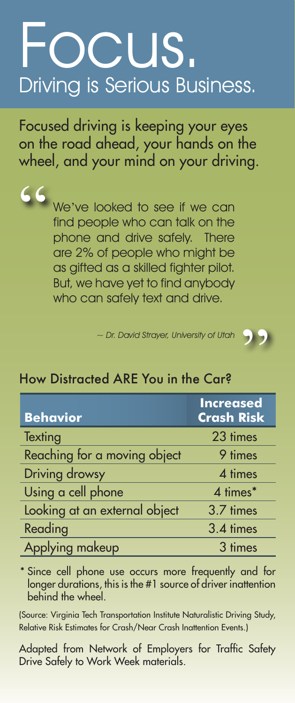## Focus. Driving is Serious Business.

Focused driving is keeping your eyes on the road ahead, your hands on the wheel, and your mind on your driving.

> We've looked to see if we can find people who can talk on the phone and drive safely. There are 2% of people who might be as gifted as a skilled fighter pilot. But, we have yet to find anybody who can safely text and drive.

"

~ Dr. David Strayer, University of Utah



## How Distracted ARE You in the Car?

| <b>Behavior</b>               | <b>Increased</b><br><b>Crash Risk</b> |
|-------------------------------|---------------------------------------|
| Texting                       | 23 times                              |
| Reaching for a moving object  | 9 times                               |
| <b>Driving drowsy</b>         | 4 times                               |
| Using a cell phone            | 4 times*                              |
| Looking at an external object | 3.7 times                             |
| Reading                       | 3.4 times                             |
| Applying makeup               | 3 times                               |

\* Since cell phone use occurs more frequently and for longer durations, this is the #1 source of driver inattention behind the wheel.

(Source: Virginia Tech Transportation Institute Naturalistic Driving Study, Relative Risk Estimates for Crash/Near Crash Inattention Events.)

Adapted from Network of Employers for Traffic Safety Drive Safely to Work Week materials.